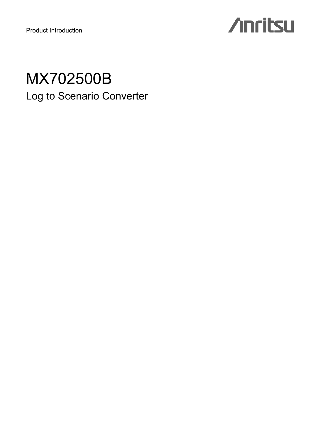Product Introduction

# **Anritsu**

## MX702500B Log to Scenario Converter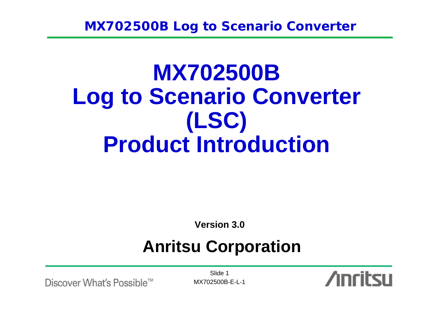# **MX702500B Log to Scenario Converter (LSC) Product Introduction**

**Version 3.0**

# **Anritsu Corporation**

Discover What's Possible™

Slide 1MX702500B-E-L-1

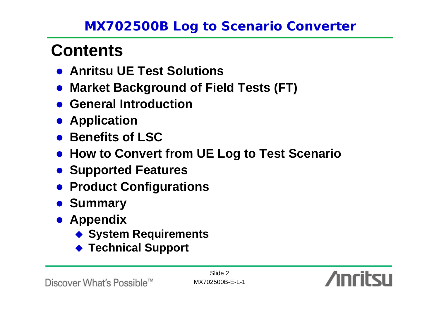# **Contents**

- **Anritsu UE Test Solutions**
- $\bullet$ **Market Background of Field Tests (FT)**
- **General Introduction**
- **Application**
- **Benefits of LSC**
- **How to Convert from UE Log to Test Scenario**
- **Supported Features**
- **Product Configurations**
- $\bullet$  **Summary**
- **Appendix** 
	- **System Requirements**
	- ◆ Technical Support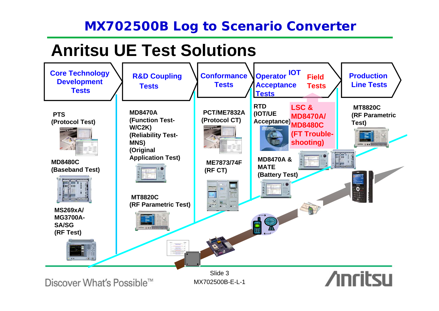# **Anritsu UE Test Solutions**

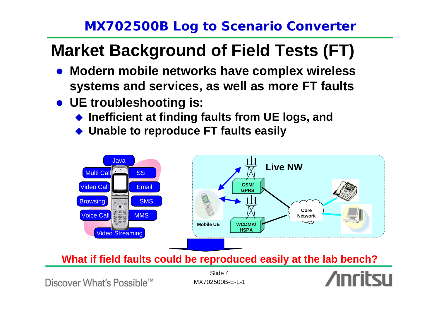# **Market Background of Field Tests (FT)**

- **Modern mobile networks have complex wireless systems and services, as well as more FT faults**
- **UE troubleshooting is:** 
	- ◆ Inefficient at finding faults from UE logs, and
	- ♦ **Unable to reproduce FT faults easily**



**What if field faults could be reproduced easily at the lab bench?**

Discover What's Possible™

Slide 4MX702500B-E-L-1

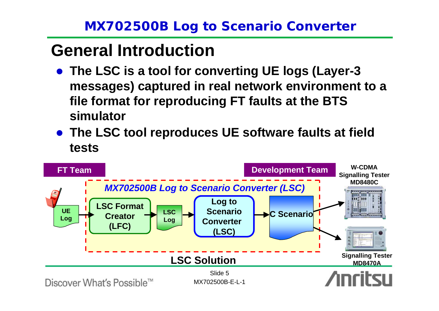# **General Introduction**

- **The LSC is a tool for converting UE logs (Layer-3 messages) captured in real network environment to a file format for reproducing FT faults at the BTS simulator**
- **The LSC tool reproduces UE software faults at field tests**

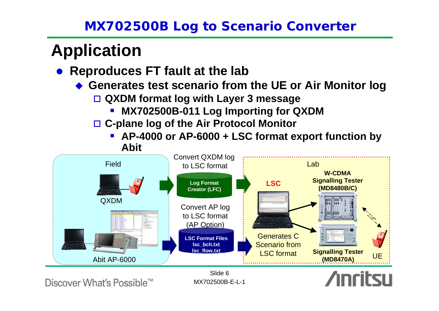# **Application**

- **Reproduces FT fault at the lab** 
	- **Generates test scenario from the UE or Air Monitor log**
		- **QXDM format log with Layer 3 message**
			- **MX702500B-011 Log Importing for QXDM**
		- **C-plane log of the Air Protocol Monitor**
			- **AP-4000 or AP-6000 + LSC format export function by Abit**



Discover What's Possible™

MX702500B-E-L-1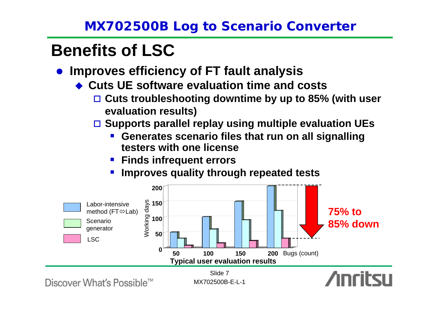# **Benefits of LSC**

- $\bullet$  **Improves efficiency of FT fault analysis**
	- ◆ Cuts UE software evaluation time and costs
		- **Cuts troubleshooting downtime by up to 85% (with user evaluation results)**
		- **Supports parallel replay using multiple evaluation UEs**
			- **Generates scenario files that run on all signalling testers with one license**
			- **Finds infrequent errors**
			- an<br>Ma **Improves quality through repeated tests**

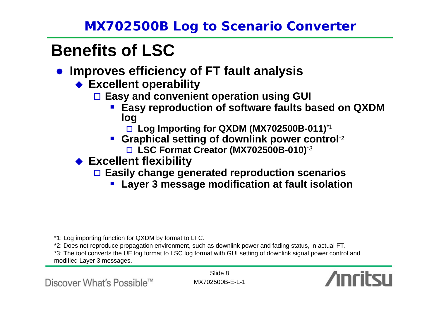# **Benefits of LSC**

- **Improves efficiency of FT fault analysis** 
	- **Excellent operability**
		- **Easy and convenient operation using GUI**
			- **Easy reproduction of software faults based on QXDM log**
				- **Log Importing for QXDM (MX702500B-011)**\*1
			- **Graphical setting of downlink power control**\*2
				- **LSC Format Creator (MX702500B-010)**\*3
	- **Excellent flexibility**
		- **Easily change generated reproduction scenarios**
			- an<br>Ma **Layer 3 message modification at fault isolation**

\*1: Log importing function for QXDM by format to LFC.

\*2: Does not reproduce propagation environment, such as downlink power and fading status, in actual FT.

\*3: The tool converts the UE log format to LSC log format with GUI setting of downlink signal power control and modified Layer 3 messages.

Discover What's Possible™

Slide 8MX702500B-E-L-1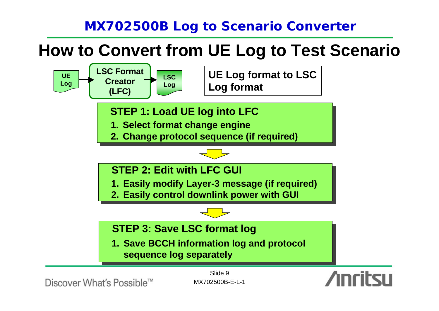# **How to Convert from UE Log to Test Scenario**



Discover What's Possible™

MX702500B-E-L-1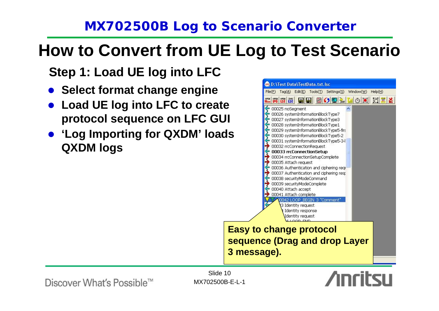# **How to Convert from UE Log to Test Scenario**

**Step 1: Load UE log into LFC**

- $\bullet$ **Select format change engine**
- $\bullet$  **Load UE log into LFC to create protocol sequence on LFC GUI**
- z **'Log Importing for QXDM' loads QXDM logs**



**Easy to change protocol sequence (Drag and drop Layer 3 message).**

### Discover What's Possible™

Slide 10MX702500B-E-L-1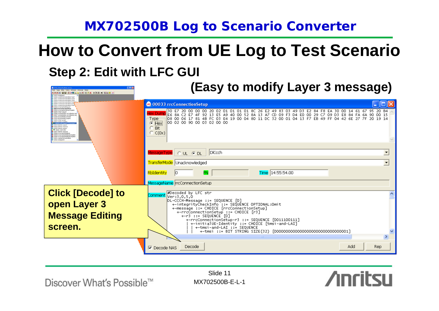# **Step 2: Edit with LFC GUI How to Convert from UE Log to Test Scenario**

| <b>D. Yest DataWestbank on its</b><br>Teplat Edith Tooletti Setrapidi Mindsville (Alps)<br>BODE LOK MYA MAA A BAO M<br>00025 redactment<br>00026 pstendnitemater@inisTvoid                                                                                                                                                                                                                                                                                                                                                                                                                                                                                                                                                                                                 | (Easy to modify Layer 3 message)                                                                                                                                                                                                                                                                                                                                                                                                                                                       |
|----------------------------------------------------------------------------------------------------------------------------------------------------------------------------------------------------------------------------------------------------------------------------------------------------------------------------------------------------------------------------------------------------------------------------------------------------------------------------------------------------------------------------------------------------------------------------------------------------------------------------------------------------------------------------------------------------------------------------------------------------------------------------|----------------------------------------------------------------------------------------------------------------------------------------------------------------------------------------------------------------------------------------------------------------------------------------------------------------------------------------------------------------------------------------------------------------------------------------------------------------------------------------|
| 00027 systemänfornation@lockType3<br>00039 ovtamäntemationilliockTvoet<br>00030 pytembritemation@cckType<br>00031 oxtentribenatonilookType5<br>00032 mtConnectionRequest<br>00033 recConnectionSetup<br>00034 mcConnectionSetupComplet<br>00035 Attach request<br>00036 Authentication and cichemo<br>DODD? Authoritication and certaining rest<br>00030 securityModeCommand<br>00039 securityModeComplete<br>Spook data DADA 0<br>00041 Attach complete<br>SO LOOP MODE<br>DODA'S Schemittly minis and<br>00044 Stentity response<br>00045 Identity request<br>T 00046 LOOP_END<br>00047 3dentity negonial<br>ODDAR HITCHWACTER#Release<br>00049 mm crypted tax flash and complete<br>00050 mcConnectionReleaseComplete<br>00051 marterlnformation@lock<br>XXX2 notegnent | <b>C</b> 00033 rrcConnectionSetup<br><u> -   □  ×</u><br>30 E7 20 00 00 00 20 02 01 01 01 01 8C 26 E2 49 83 03 49 D3 E2 84 F8 EA 30 00 14 61 67 95 20 B4<br>ex Dumr<br>E6 8A C2 E7 4F 92 13 E5 A9 40 00 52 8A 13 A7 CD 09 F3 D4 E0 00 29 C7 09 D3 E8 84 FA 6A 90 00 15<br>08 00 06 17 81 4B FC 03 E4 19 00 04 80 11 DC 32 00 01 04 13 F7 EB 49 FF 04 42 6E 27 7F 20 19 14<br>-Type <sup>.</sup><br>00 02 00 90 00 03 02 00 00<br>$\bullet$ Hex<br>Bit<br>C(0x)                         |
|                                                                                                                                                                                                                                                                                                                                                                                                                                                                                                                                                                                                                                                                                                                                                                            | DICcch<br>$C U L$ $C D L$<br>$\overline{\phantom{a}}$<br>$\overline{\phantom{a}}$<br>TransferMode Unacknowledged<br>Time 14:55:54.00<br><b>RbIdentity</b><br>FN<br>MessageName rrcConnectionSetup                                                                                                                                                                                                                                                                                      |
| <b>Click [Decode] to</b><br>open Layer 3<br><b>Message Editing</b><br>screen.                                                                                                                                                                                                                                                                                                                                                                                                                                                                                                                                                                                                                                                                                              | #Decoded by LFC str<br>comment ver : 3 , 0 , 5 , 0<br>DL-CCCH-Message ::= SEQUENCE [0]<br>+-integrityCheckInfo ::= SEQUENCE OPTIONAL:Omit<br>+-message ::= CHOICE [rrcConnectionSetup]<br>+-rrcConnectionSetup ::= CHOICE [r3]<br>$+-r3 ::=$ SEQUENCE $[0]$<br>+-rrcConnectionSetup-r3 ::= SEQUENCE [0011100111]<br>+-initialUE-Identity ::= CHOICE [tmsi-and-LAI]<br>+-tmsi-and-LAI ::= SEQUENCE<br>+-tmsi ::= BIT STRING SIZE(32) [0000000000000000000000000000001]<br>$\rightarrow$ |
|                                                                                                                                                                                                                                                                                                                                                                                                                                                                                                                                                                                                                                                                                                                                                                            | Add<br><b>Rep</b><br>Decode<br>$\nabla$ Decode NAS                                                                                                                                                                                                                                                                                                                                                                                                                                     |

Discover What's Possible™

Slide 11MX702500B-E-L-1 **Anritsu**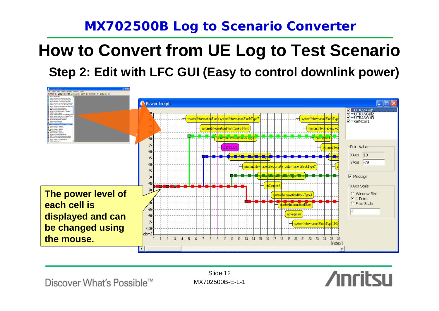# **How to Convert from UE Log to Test Scenario**

**Step 2: Edit with LFC GUI (Easy to control downlink power)**



Discover What's Possible™

Slide 12MX702500B-E-L-1

**Anritsu**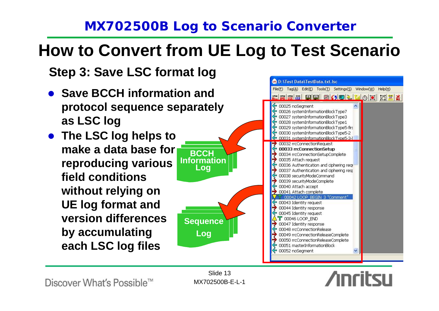# **How to Convert from UE Log to Test Scenario**

**BCCH Information Log**

**Sequence**

**Log**

**Step 3: Save LSC format log**

- $\bullet$  **Save BCCH information and protocol sequence separately as LSC log**
- **The LSC log helps to make a data base forreproducing various field conditions without relying on UE log format and version differences by accumulating each LSC log files**



Discover What's Possible™

Slide 13MX702500B-E-L-1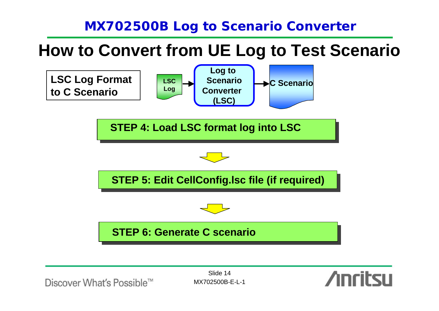# **How to Convert from UE Log to Test Scenario**



Discover What's Possible™

Slide 14MX702500B-E-L-1

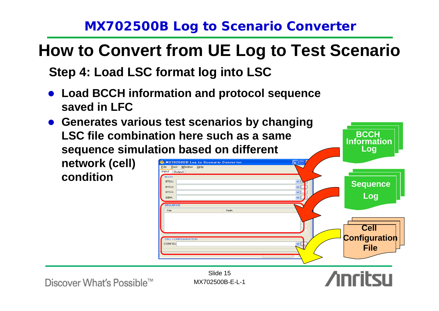# **How to Convert from UE Log to Test Scenario**

**Step 4: Load LSC format log into LSC**

- $\bullet$  **Load BCCH information and protocol sequence saved in LFC**
- **Generates various test scenarios by changing LSC file combination here such as a same sequence simulation based on different network (cell) MX702500B Log to Scenario Converter** Tool Window Help Input Output **condition**ROCH

**Log** RTS1-**Sequence** BTS2: BTS3: **Log** com-SEOUENO Eile  $D = H$ **Cell Configuration CELL CONFIGURATION CONFIG: File**Slide 15

**BCCH Information**

Discover What's Possible™

MX702500B-E-L-1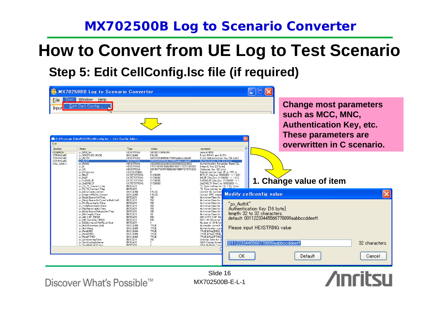# **How to Convert from UE Log to Test Scenario**

**Step 5: Edit CellConfig.lsc file (if required)**

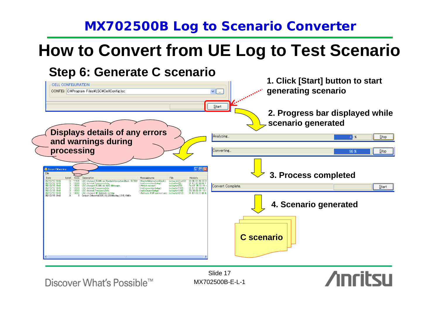# **How to Convert from UE Log to Test Scenario**

 $Step$ 

Stop

Start

**Anritsu** 



Discover What's Possible™

Slide 17MX702500B-E-L-1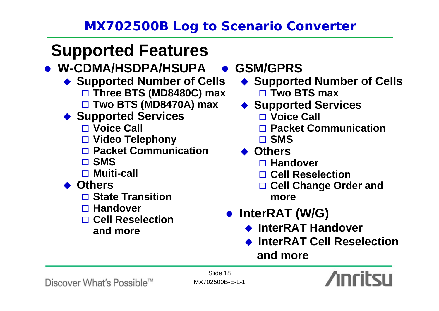# **Supported Features**

## z **W-CDMA/HSDPA/HSUPA**

- ◆ Supported Number of Cells **Three BTS (MD8480C) max Two BTS (MD8470A) max**
- ◆ Supported Services
	- **Voice Call**
	- **Video Telephony**
	- **Packet Communication**
	- **SMS**
	- **Muiti-call**
- ◆ Others
	- **State Transition**
	- **Handover**
	- **Cell Reselection** 
		- **and more**

## z **GSM/GPRS**

- ◆ Supported Number of Cells
	- **Two BTS max**
- ◆ Supported Services
	- **Voice Call**
	- **Packet Communication**
	- **SMS**
- ◆ Others
	- **Handover**
	- **Cell Reselection**
	- **Cell Change Order and more**
- z **InterRAT (W/G)**
	- ◆ InterRAT Handover
	- $\blacklozenge$ **InterRAT Cell Reselection**

**and more**

### Discover What's Possible™

Slide 18MX702500B-E-L-1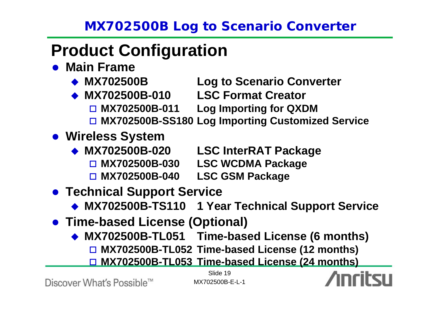# **Product Configuration**

- **Main Frame** 
	- $\leftrightarrow$  MX702500B
- **Log to Scenario Converter**
- $\bullet$  MX702500B-010 **MX702500B-010 LSC Format Creator**
	- $\Box$  MX702500B-011 **Log Importing for QXDM**
	- **MX702500B-SS180 Log Importing Customized Service**
- **Wireless System** 
	- ◆ MX702500B-020 **LSC InterRAT Package** 
		- $\Box$  MX702500B-030 **MX702500B-030 LSC WCDMA Package**
		- $\Box$  MX702500B-040 **MX702500B-040 LSC GSM Package**
- **Technical Support Service** 
	- **MX702500B-TS110 1 Year Technical Support Service**
- **Time-based License (Optional)** 
	- ♦ **MX702500B-TL051 Time-based License (6 months)**
		- **MX702500B-TL052 Time-based License (12 months)**
		- **MX702500B-TL053 Time-based License (24 months)**

Discover What's Possible™

Slide 19MX702500B-E-L-1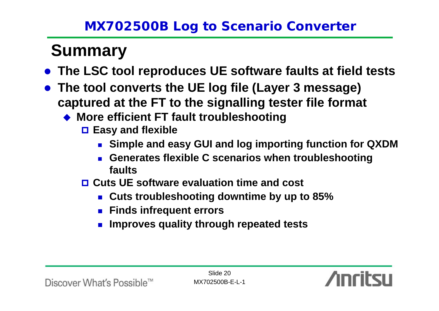# **Summary**

- $\bullet$ **The LSC tool reproduces UE software faults at field tests**
- **The tool converts the UE log file (Layer 3 message) captured at the FT to the signalling tester file format**
	- ◆ More efficient FT fault troubleshooting
		- **Easy and flexible**
			- **Simple and easy GUI and log importing function for QXDM**
			- **Generates flexible C scenarios when troubleshooting faults**
		- **Cuts UE software evaluation time and cost**
			- **Cuts troubleshooting downtime by up to 85%**
			- **Finds infrequent errors**
			- P. **Improves quality through repeated tests**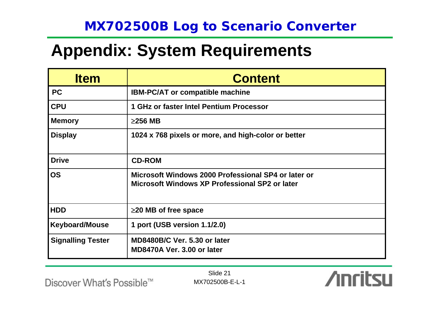# **Appendix: System Requirements**

| <b>Item</b>              | <b>Content</b>                                                                                        |
|--------------------------|-------------------------------------------------------------------------------------------------------|
| <b>PC</b>                | <b>IBM-PC/AT or compatible machine</b>                                                                |
| <b>CPU</b>               | 1 GHz or faster Intel Pentium Processor                                                               |
| <b>Memory</b>            | $\geq$ 256 MB                                                                                         |
| <b>Display</b>           | 1024 x 768 pixels or more, and high-color or better                                                   |
| <b>Drive</b>             | <b>CD-ROM</b>                                                                                         |
| <b>OS</b>                | Microsoft Windows 2000 Professional SP4 or later or<br>Microsoft Windows XP Professional SP2 or later |
| <b>HDD</b>               | $\geq$ 20 MB of free space                                                                            |
| <b>Keyboard/Mouse</b>    | 1 port (USB version 1.1/2.0)                                                                          |
| <b>Signalling Tester</b> | <b>MD8480B/C Ver. 5.30 or later</b><br>MD8470A Ver. 3.00 or later                                     |

Slide 21MX702500B-E-L-1 **Anritsu** 

Discover What's Possible<sup>™</sup>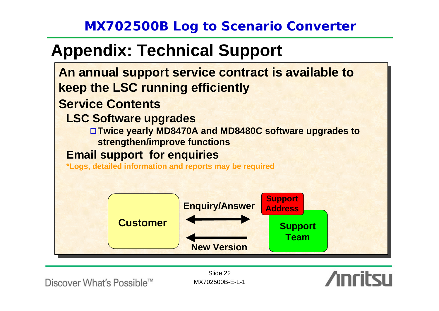# **Appendix: Technical Support**



Discover What's Possible™

Slide 22MX702500B-E-L-1